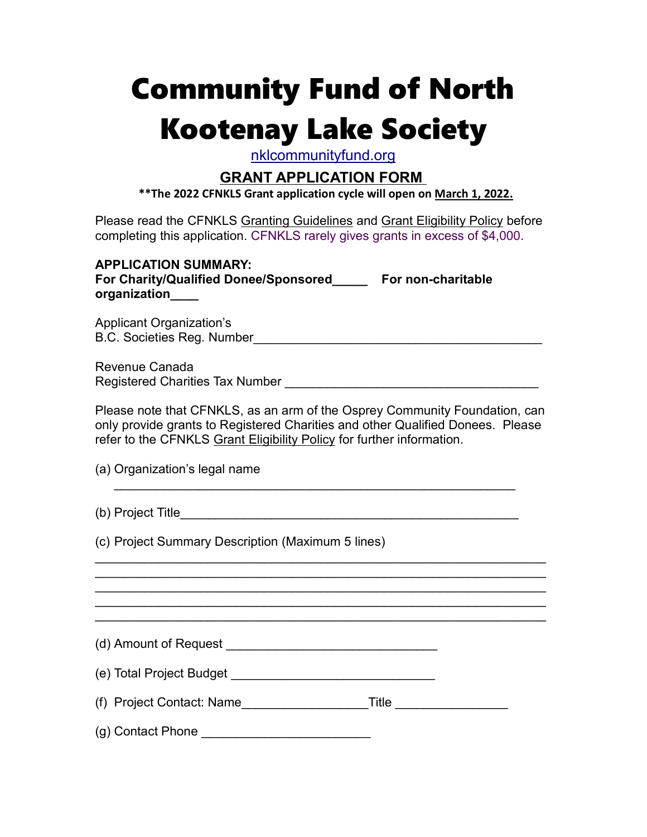# Community Fund of North Kootenay Lake Society

nklcommunityfund.org

### GRANT APPLICATION FORM

\*\*The 2022 CFNKLS Grant application cycle will open on March 1, 2022.

Please read the CFNKLS Granting Guidelines and Grant Eligibility Policy before completing this application. CFNKLS rarely gives grants in excess of \$4,000.

| <b>APPLICATION SUMMARY:</b><br>For Charity/Qualified Donee/Sponsored______ For non-charitable<br>organization____                                                                                                                     |  |  |  |  |  |  |  |  |  |
|---------------------------------------------------------------------------------------------------------------------------------------------------------------------------------------------------------------------------------------|--|--|--|--|--|--|--|--|--|
| <b>Applicant Organization's</b>                                                                                                                                                                                                       |  |  |  |  |  |  |  |  |  |
| <b>Revenue Canada</b>                                                                                                                                                                                                                 |  |  |  |  |  |  |  |  |  |
| Please note that CFNKLS, as an arm of the Osprey Community Foundation, can<br>only provide grants to Registered Charities and other Qualified Donees. Please<br>refer to the CFNKLS Grant Eligibility Policy for further information. |  |  |  |  |  |  |  |  |  |
| (a) Organization's legal name                                                                                                                                                                                                         |  |  |  |  |  |  |  |  |  |
|                                                                                                                                                                                                                                       |  |  |  |  |  |  |  |  |  |
| (c) Project Summary Description (Maximum 5 lines)<br><u> 1999 - 1999 - 1999 - 1999 - 1999 - 1999 - 1999 - 1999 - 1999 - 1999 - 1999 - 1999 - 1999 - 1999 - 1999 - 19</u>                                                              |  |  |  |  |  |  |  |  |  |
| <u> 1989 - Johann Harry Harry Harry Harry Harry Harry Harry Harry Harry Harry Harry Harry Harry Harry Harry Harry</u>                                                                                                                 |  |  |  |  |  |  |  |  |  |
|                                                                                                                                                                                                                                       |  |  |  |  |  |  |  |  |  |
|                                                                                                                                                                                                                                       |  |  |  |  |  |  |  |  |  |
| (f) Project Contact: Name______________________Title ____________________                                                                                                                                                             |  |  |  |  |  |  |  |  |  |
| (g) Contact Phone                                                                                                                                                                                                                     |  |  |  |  |  |  |  |  |  |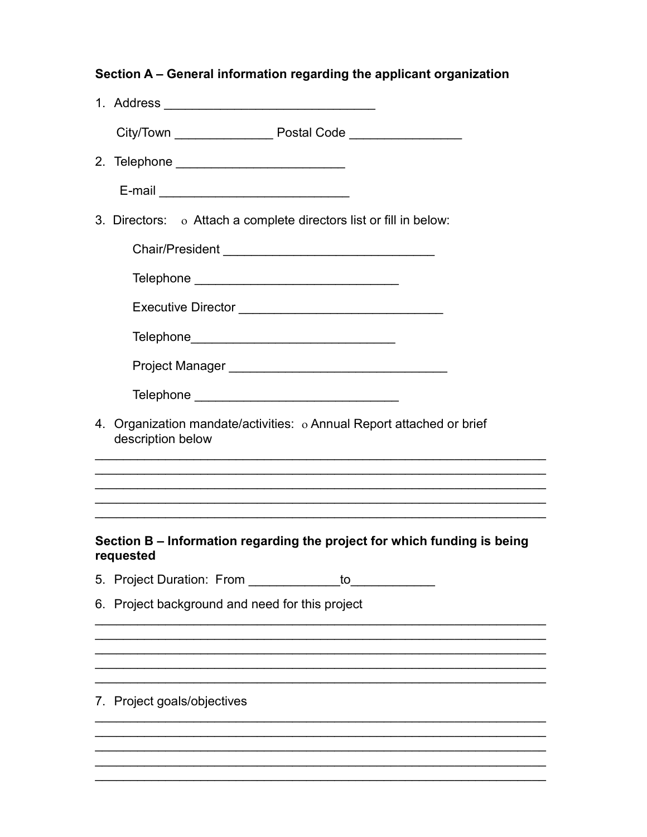|                                                                                            | Section A – General information regarding the applicant organization                  |  |  |  |  |  |  |  |  |
|--------------------------------------------------------------------------------------------|---------------------------------------------------------------------------------------|--|--|--|--|--|--|--|--|
|                                                                                            |                                                                                       |  |  |  |  |  |  |  |  |
|                                                                                            | City/Town _______________________ Postal Code ____________________                    |  |  |  |  |  |  |  |  |
|                                                                                            |                                                                                       |  |  |  |  |  |  |  |  |
|                                                                                            |                                                                                       |  |  |  |  |  |  |  |  |
|                                                                                            | 3. Directors: o Attach a complete directors list or fill in below:                    |  |  |  |  |  |  |  |  |
|                                                                                            |                                                                                       |  |  |  |  |  |  |  |  |
|                                                                                            | Telephone ___________________________________                                         |  |  |  |  |  |  |  |  |
|                                                                                            |                                                                                       |  |  |  |  |  |  |  |  |
|                                                                                            |                                                                                       |  |  |  |  |  |  |  |  |
|                                                                                            |                                                                                       |  |  |  |  |  |  |  |  |
|                                                                                            |                                                                                       |  |  |  |  |  |  |  |  |
| 4. Organization mandate/activities: o Annual Report attached or brief<br>description below |                                                                                       |  |  |  |  |  |  |  |  |
|                                                                                            |                                                                                       |  |  |  |  |  |  |  |  |
|                                                                                            |                                                                                       |  |  |  |  |  |  |  |  |
|                                                                                            | Section B - Information regarding the project for which funding is being<br>requested |  |  |  |  |  |  |  |  |
|                                                                                            |                                                                                       |  |  |  |  |  |  |  |  |
|                                                                                            | 6. Project background and need for this project                                       |  |  |  |  |  |  |  |  |
|                                                                                            |                                                                                       |  |  |  |  |  |  |  |  |
|                                                                                            |                                                                                       |  |  |  |  |  |  |  |  |
|                                                                                            | 7. Project goals/objectives                                                           |  |  |  |  |  |  |  |  |
|                                                                                            |                                                                                       |  |  |  |  |  |  |  |  |
|                                                                                            |                                                                                       |  |  |  |  |  |  |  |  |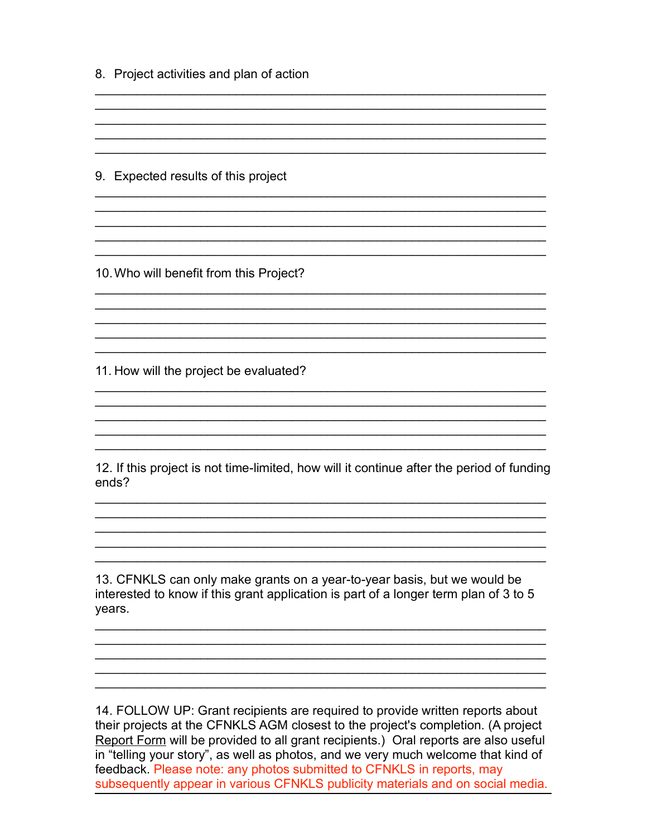8. Project activities and plan of action

9. Expected results of this project

10. Who will benefit from this Project?

11. How will the project be evaluated?

12. If this project is not time-limited, how will it continue after the period of funding ends?

<u> 1989 - 1989 - 1989 - 1989 - 1989 - 1989 - 1989 - 1989 - 1989 - 1989 - 1989 - 1989 - 1989 - 1989 - 1989 - 19</u>

13. CFNKLS can only make grants on a year-to-year basis, but we would be interested to know if this grant application is part of a longer term plan of 3 to 5 years.

14. FOLLOW UP: Grant recipients are required to provide written reports about their projects at the CFNKLS AGM closest to the project's completion. (A project Report Form will be provided to all grant recipients.) Oral reports are also useful in "telling your story", as well as photos, and we very much welcome that kind of feedback. Please note: any photos submitted to CFNKLS in reports, may subsequently appear in various CFNKLS publicity materials and on social media.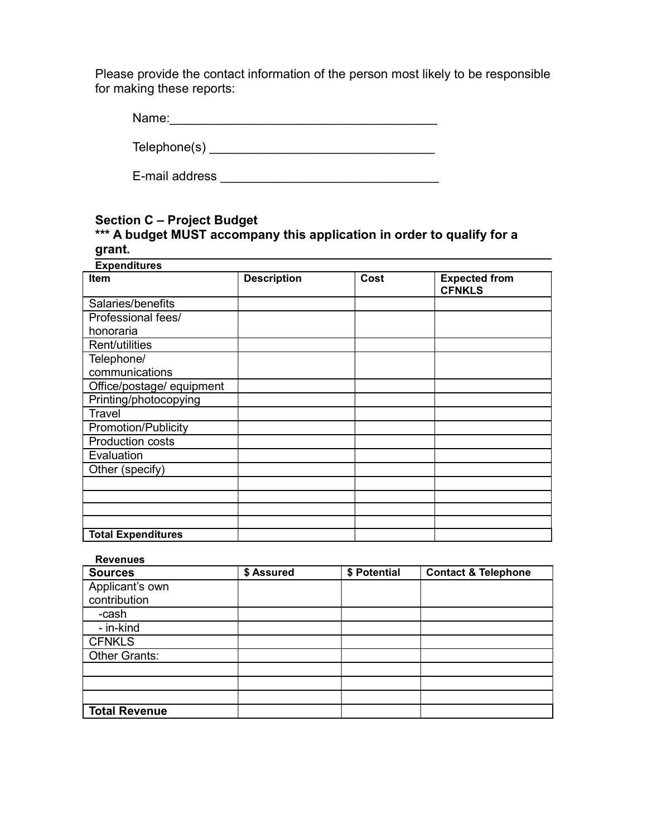Please provide the contact information of the person most likely to be responsible for making these reports:

| Name: |  |  |  |  |
|-------|--|--|--|--|
|       |  |  |  |  |

Telephone(s) \_\_\_\_\_\_\_\_\_\_\_\_\_\_\_\_\_\_\_\_\_\_\_\_\_\_\_\_\_\_\_\_

E-mail address \_\_\_\_\_\_\_\_\_\_\_\_\_\_\_\_\_\_\_\_\_\_\_\_\_\_\_\_\_\_\_

#### Section C – Project Budget \*\*\* A budget MUST accompany this application in order to qualify for a grant.

| <b>Expenditures</b>       |                    |      |                                       |  |  |  |
|---------------------------|--------------------|------|---------------------------------------|--|--|--|
| <b>Item</b>               | <b>Description</b> | Cost | <b>Expected from</b><br><b>CFNKLS</b> |  |  |  |
| Salaries/benefits         |                    |      |                                       |  |  |  |
| Professional fees/        |                    |      |                                       |  |  |  |
| honoraria                 |                    |      |                                       |  |  |  |
| Rent/utilities            |                    |      |                                       |  |  |  |
| Telephone/                |                    |      |                                       |  |  |  |
| communications            |                    |      |                                       |  |  |  |
| Office/postage/ equipment |                    |      |                                       |  |  |  |
| Printing/photocopying     |                    |      |                                       |  |  |  |
| Travel                    |                    |      |                                       |  |  |  |
| Promotion/Publicity       |                    |      |                                       |  |  |  |
| <b>Production costs</b>   |                    |      |                                       |  |  |  |
| Evaluation                |                    |      |                                       |  |  |  |
| Other (specify)           |                    |      |                                       |  |  |  |
|                           |                    |      |                                       |  |  |  |
|                           |                    |      |                                       |  |  |  |
|                           |                    |      |                                       |  |  |  |
|                           |                    |      |                                       |  |  |  |
| <b>Total Expenditures</b> |                    |      |                                       |  |  |  |

#### Revenues

| <b>Sources</b>       | \$ Assured | \$ Potential | <b>Contact &amp; Telephone</b> |
|----------------------|------------|--------------|--------------------------------|
| Applicant's own      |            |              |                                |
| contribution         |            |              |                                |
| -cash                |            |              |                                |
| - in-kind            |            |              |                                |
| <b>CFNKLS</b>        |            |              |                                |
| Other Grants:        |            |              |                                |
|                      |            |              |                                |
|                      |            |              |                                |
|                      |            |              |                                |
| <b>Total Revenue</b> |            |              |                                |